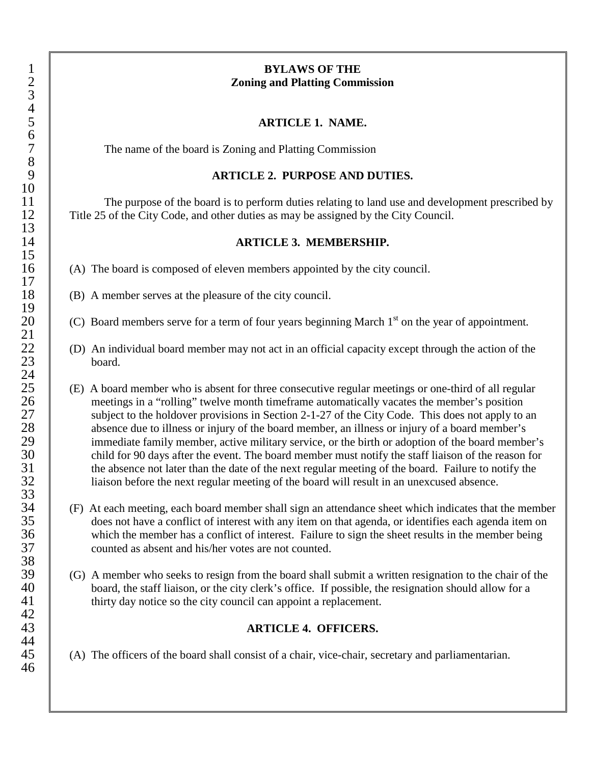## 1 **BYLAWS OF THE** 2 **Zoning and Platting Commission**

## 5 **ARTICLE 1. NAME.**

7 The name of the board is Zoning and Platting Commission

## 9 **ARTICLE 2. PURPOSE AND DUTIES.**

The purpose of the board is to perform duties relating to land use and development prescribed by<br>12 Title 25 of the City Code, and other duties as may be assigned by the City Council. Title 25 of the City Code, and other duties as may be assigned by the City Council.

#### 14 **ARTICLE 3. MEMBERSHIP.**

- 16 (A) The board is composed of eleven members appointed by the city council.
	- (B) A member serves at the pleasure of the city council.
	- (C) Board members serve for a term of four years beginning March 1<sup>st</sup> on the year of appointment.
- $\begin{array}{c|c}\n 22 & \text{(D) An individual board member may not act in an official capacity except through the action of the board.\n\end{array}$ board.
- 25 (E) A board member who is absent for three consecutive regular meetings or one-third of all regular meetings in a "rolling" twelve month timeframe automatically vacates the member's position 26 meetings in a "rolling" twelve month timeframe automatically vacates the member's position<br>27 subject to the holdover provisions in Section 2-1-27 of the City Code. This does not apply to 27 subject to the holdover provisions in Section 2-1-27 of the City Code. This does not apply to an absence due to illness or injury of the board member, an illness or injury of a board member's 28 absence due to illness or injury of the board member, an illness or injury of a board member's<br>29 immediate family member, active military service, or the birth or adoption of the board member 29 immediate family member, active military service, or the birth or adoption of the board member's<br>30 child for 90 days after the event. The board member must notify the staff liaison of the reason for 30 child for 90 days after the event. The board member must notify the staff liaison of the reason for<br>31 the absence not later than the date of the next regular meeting of the board. Failure to notify the 31 the absence not later than the date of the next regular meeting of the board. Failure to notify the liaison before the next regular meeting of the board will result in an unexcused absence. liaison before the next regular meeting of the board will result in an unexcused absence.
- <sup>34</sup> (F) At each meeting, each board member shall sign an attendance sheet which indicates that the member<br><sup>35</sup> does not have a conflict of interest with any item on that agenda, or identifies each agenda item on 35 does not have a conflict of interest with any item on that agenda, or identifies each agenda item on<br>36 which the member has a conflict of interest. Failure to sign the sheet results in the member being 36 which the member has a conflict of interest. Failure to sign the sheet results in the member being<br>37 counted as absent and his/her votes are not counted. counted as absent and his/her votes are not counted.
- $39$  (G) A member who seeks to resign from the board shall submit a written resignation to the chair of the board, the staff liaison, or the city clerk's office. If possible, the resignation should allow for a <sup>40</sup> board, the staff liaison, or the city clerk's office. If possible, the resignation should allow for a<br><sup>41</sup> thirty day notice so the city council can appoint a replacement. thirty day notice so the city council can appoint a replacement.

## 43 **ARTICLE 4. OFFICERS.**

45 (A) The officers of the board shall consist of a chair, vice-chair, secretary and parliamentarian.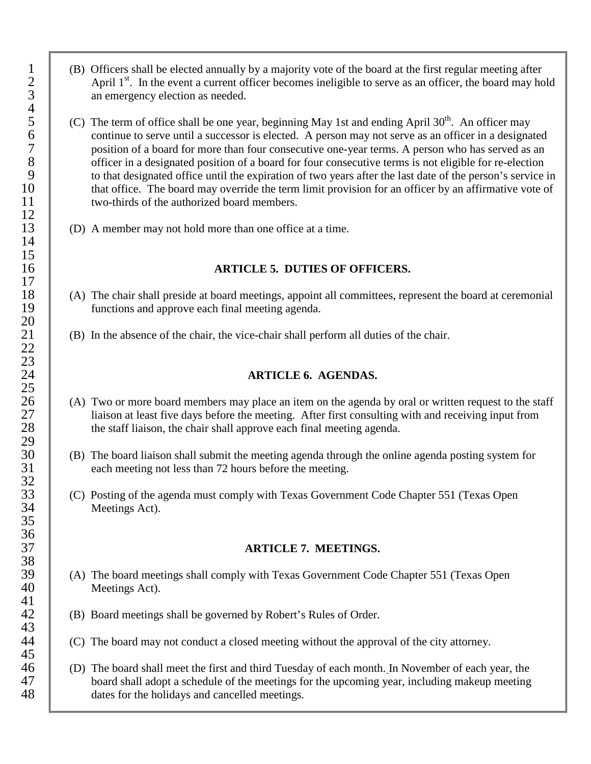- 1 (B) Officers shall be elected annually by a majority vote of the board at the first regular meeting after<br>2 April  $1<sup>st</sup>$ . In the event a current officer becomes ineligible to serve as an officer, the board may ho April  $1<sup>st</sup>$ . In the event a current officer becomes ineligible to serve as an officer, the board may hold an emergency election as needed.
- (C) The term of office shall be one year, beginning May 1st and ending April  $30<sup>th</sup>$ . An officer may continue to serve until a successor is elected. A person may not serve as an officer in a designated position of a board for more than four consecutive one-year terms. A person who has served as an officer in a designated position of a board for four consecutive terms is not eligible for re-election 8<br>
officer in a designated position of a board for four consecutive terms is not eligible for re-election<br>
9<br>
o that designated office until the expiration of two vears after the last date of the person's service <sup>9</sup> to that designated office until the expiration of two years after the last date of the person's service in<br>10 that office. The board may override the term limit provision for an officer by an affirmative vote of that office. The board may override the term limit provision for an officer by an affirmative vote of two-thirds of the authorized board members. two-thirds of the authorized board members.
	- 13 (D) A member may not hold more than one office at a time.

## 16 **ARTICLE 5. DUTIES OF OFFICERS.**

- 18 (A) The chair shall preside at board meetings, appoint all committees, represent the board at ceremonial functions and approve each final meeting agenda. functions and approve each final meeting agenda.
	- 21 (B) In the absence of the chair, the vice-chair shall perform all duties of the chair.

### 24 **ARTICLE 6. AGENDAS.**

- 26 (A) Two or more board members may place an item on the agenda by oral or written request to the staff liaison at least five days before the meeting. After first consulting with and receiving input from 27 liaison at least five days before the meeting. After first consulting with and receiving input from<br>28 the staff liaison, the chair shall approve each final meeting agenda. the staff liaison, the chair shall approve each final meeting agenda.
- 30 (B) The board liaison shall submit the meeting agenda through the online agenda posting system for each meeting not less than 72 hours before the meeting. each meeting not less than 72 hours before the meeting.
- 33 (C) Posting of the agenda must comply with Texas Government Code Chapter 551 (Texas Open Meetings Act). Meetings Act).

#### 37 **ARTICLE 7. MEETINGS.**

- 39 (A) The board meetings shall comply with Texas Government Code Chapter 551 (Texas Open Meetings Act). Meetings Act).
	- 42 (B) Board meetings shall be governed by Robert's Rules of Order.
- $44$  (C) The board may not conduct a closed meeting without the approval of the city attorney.
- 46 (D) The board shall meet the first and third Tuesday of each month. In November of each year, the board shall adopt a schedule of the meetings for the upcoming year, including makeup meeting board shall adopt a schedule of the meetings for the upcoming year, including makeup meeting 48 dates for the holidays and cancelled meetings*.*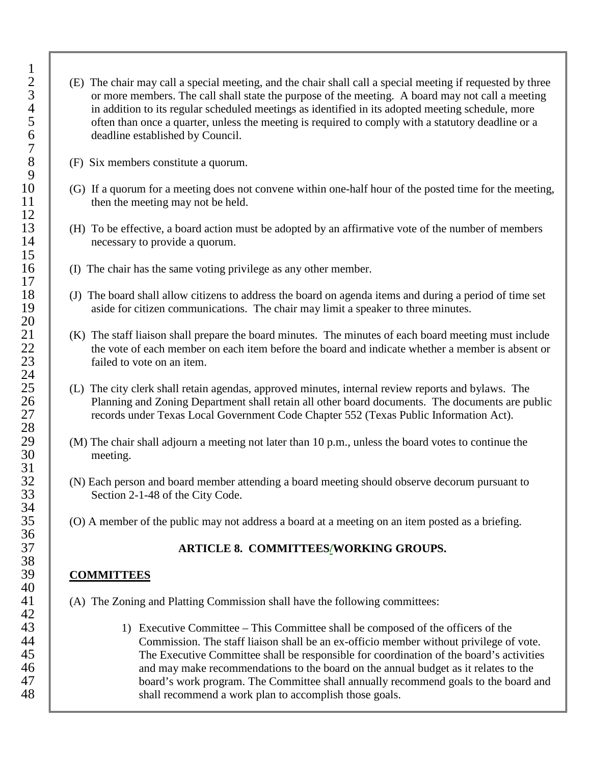- 2 (E) The chair may call a special meeting, and the chair shall call a special meeting if requested by three or more members. The call shall state the purpose of the meeting. A board may not call a meeting in addition to i 3 or more members. The call shall state the purpose of the meeting. A board may not call a meeting in addition to its regular scheduled meetings as identified in its adopted meeting schedule, more often than once a quarter, unless the meeting is required to comply with a statutory deadline or a deadline established by Council.
	- 8 (F) Six members constitute a quorum.
- 10 (G) If a quorum for a meeting does not convene within one-half hour of the posted time for the meeting,<br>11 then the meeting may not be held. then the meeting may not be held.
- 13 (H) To be effective, a board action must be adopted by an affirmative vote of the number of members 14 **necessary to provide a quorum.**
- 16 (I) The chair has the same voting privilege as any other member.
- 18 (J) The board shall allow citizens to address the board on agenda items and during a period of time set aside for citizen communications. The chair may limit a speaker to three minutes. aside for citizen communications. The chair may limit a speaker to three minutes.
- <sup>21</sup> (K) The staff liaison shall prepare the board minutes. The minutes of each board meeting must include the vote of each member on each item before the board and indicate whether a member is absent or 22 the vote of each member on each item before the board and indicate whether a member is absent or failed to vote on an item. failed to vote on an item.
- 25 (L) The city clerk shall retain agendas, approved minutes, internal review reports and bylaws. The Planning and Zoning Department shall retain all other board documents. The documents are pu 26 Planning and Zoning Department shall retain all other board documents. The documents are public<br>27 Planning and Exas Local Government Code Chapter 552 (Texas Public Information Act). 27 records under Texas Local Government Code Chapter 552 (Texas Public Information Act).
- 29 (M) The chair shall adjourn a meeting not later than 10 p.m., unless the board votes to continue the meeting. meeting.
- <sup>32</sup> (N) Each person and board member attending a board meeting should observe decorum pursuant to<br><sup>33</sup> Section 2-1-48 of the City Code. Section 2-1-48 of the City Code.
	- 35 (O) A member of the public may not address a board at a meeting on an item posted as a briefing.

# 37 **ARTICLE 8. COMMITTEES/WORKING GROUPS.**

## 39 **COMMITTEES**

- 41 (A) The Zoning and Platting Commission shall have the following committees:
- 43 1) Executive Committee This Committee shall be composed of the officers of the 44 Commission. The staff liaison shall be an ex-officio member without privilege of vote.<br>45 The Executive Committee shall be responsible for coordination of the board's activities The Executive Committee shall be responsible for coordination of the board's activities 46 and may make recommendations to the board on the annual budget as it relates to the board is work program. The Committee shall annually recommend goals to the board is board's work program. The Committee shall annually recommend goals to the board and 48 **Solution** Shall recommend a work plan to accomplish those goals.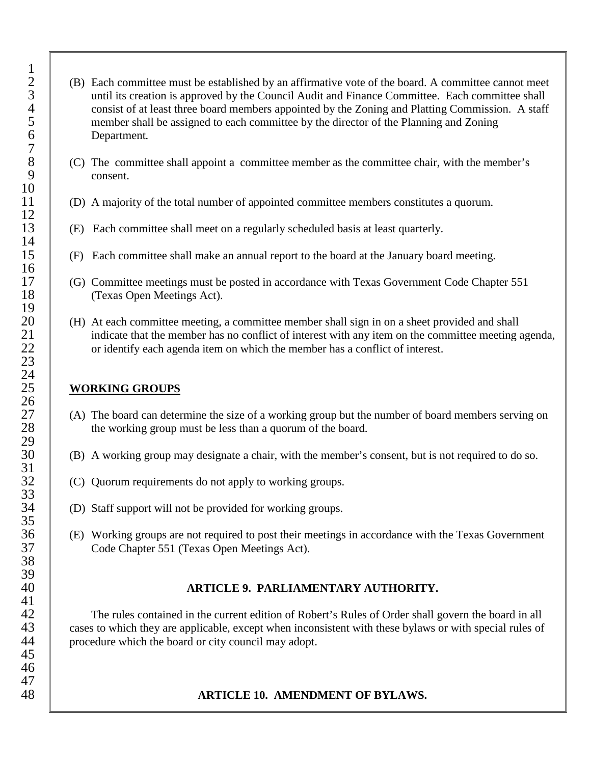- <sup>2</sup> (B) Each committee must be established by an affirmative vote of the board. A committee cannot meet until its creation is approved by the Council Audit and Finance Committee. Each committee shall 3<br>
until its creation is approved by the Council Audit and Finance Committee. Each committee shall<br>
consist of at least three board members appointed by the Zoning and Platting Commission. A staff<br>
5 4 consist of at least three board members appointed by the Zoning and Platting Commission. A staff 5 member shall be assigned to each committee by the director of the Planning and Zoning<br>6 Department. 6 Department*.*
- $8 \t\t (C)$  The committee shall appoint a committee member as the committee chair, with the member's consent. consent.
	- 11 (D) A majority of the total number of appointed committee members constitutes a quorum.
	- 13 (E) Each committee shall meet on a regularly scheduled basis at least quarterly.
	- 15 (F) Each committee shall make an annual report to the board at the January board meeting.
- 17 (G) Committee meetings must be posted in accordance with Texas Government Code Chapter 551<br>18 (Texas Open Meetings Act). (Texas Open Meetings Act).
- 20 (H) At each committee meeting, a committee member shall sign in on a sheet provided and shall<br>21 indicate that the member has no conflict of interest with any item on the committee meeting 21 indicate that the member has no conflict of interest with any item on the committee meeting agenda,<br>22 conflict of interest. 22 or identify each agenda item on which the member has a conflict of interest.

## 25 **WORKING GROUPS**

- 27 (A) The board can determine the size of a working group but the number of board members serving on the working group must be less than a quorum of the board. the working group must be less than a quorum of the board.
	- 30 (B) A working group may designate a chair, with the member's consent, but is not required to do so.
	- 32 (C) Quorum requirements do not apply to working groups.
- $34$  (D) Staff support will not be provided for working groups.
- 36 (E) Working groups are not required to post their meetings in accordance with the Texas Government<br>37 Code Chapter 551 (Texas Open Meetings Act). Code Chapter 551 (Texas Open Meetings Act).

# 40 **ARTICLE 9. PARLIAMENTARY AUTHORITY.**

The rules contained in the current edition of Robert's Rules of Order shall govern the board in all<br>43 cases to which they are applicable, except when inconsistent with these bylaws or with special rules of cases to which they are applicable, except when inconsistent with these bylaws or with special rules of 44 vert contract procedure which the board or city council may adopt.

# 48 **ARTICLE 10. AMENDMENT OF BYLAWS.**